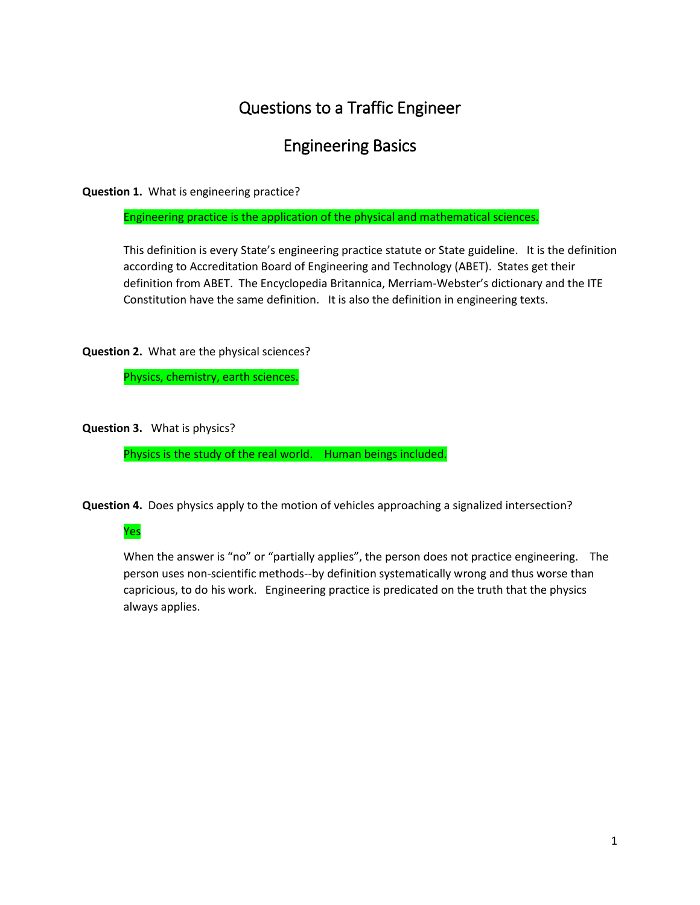## Questions to a Traffic Engineer

## Engineering Basics

**Question 1.** What is engineering practice?

Engineering practice is the application of the physical and mathematical sciences.

This definition is every State's engineering practice statute or State guideline. It is the definition according to Accreditation Board of Engineering and Technology (ABET). States get their definition from ABET. The Encyclopedia Britannica, Merriam-Webster's dictionary and the ITE Constitution have the same definition. It is also the definition in engineering texts.

**Question 2.** What are the physical sciences?

Physics, chemistry, earth sciences.

**Question 3.** What is physics?

Physics is the study of the real world. Human beings included.

**Question 4.** Does physics apply to the motion of vehicles approaching a signalized intersection?

## Yes

When the answer is "no" or "partially applies", the person does not practice engineering. The person uses non-scientific methods--by definition systematically wrong and thus worse than capricious, to do his work. Engineering practice is predicated on the truth that the physics always applies.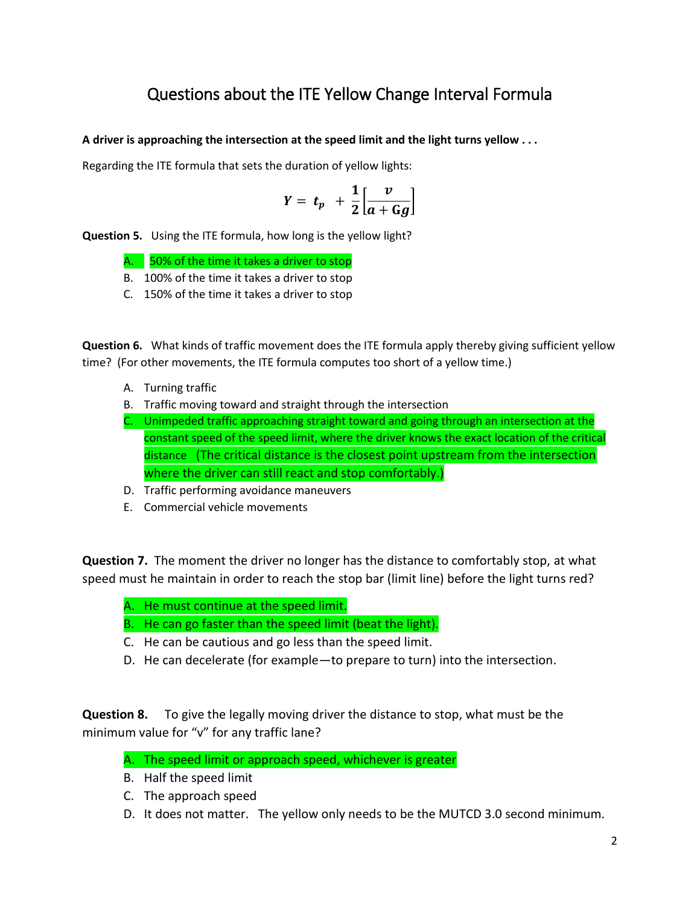## Questions about the ITE Yellow Change Interval Formula

**A driver is approaching the intersection at the speed limit and the light turns yellow . . .**

Regarding the ITE formula that sets the duration of yellow lights:

$$
Y = t_p + \frac{1}{2} \left[ \frac{v}{a + Gg} \right]
$$

**Question 5.** Using the ITE formula, how long is the yellow light?

- A. 50% of the time it takes a driver to stop
- B. 100% of the time it takes a driver to stop
- C. 150% of the time it takes a driver to stop

**Question 6.** What kinds of traffic movement does the ITE formula apply thereby giving sufficient yellow time? (For other movements, the ITE formula computes too short of a yellow time.)

- A. Turning traffic
- B. Traffic moving toward and straight through the intersection
- C. Unimpeded traffic approaching straight toward and going through an intersection at the constant speed of the speed limit, where the driver knows the exact location of the critical distance (The critical distance is the closest point upstream from the intersection where the driver can still react and stop comfortably.)
- D. Traffic performing avoidance maneuvers
- E. Commercial vehicle movements

**Question 7.** The moment the driver no longer has the distance to comfortably stop, at what speed must he maintain in order to reach the stop bar (limit line) before the light turns red?

- A. He must continue at the speed limit.
- B. He can go faster than the speed limit (beat the light).
- C. He can be cautious and go less than the speed limit.
- D. He can decelerate (for example—to prepare to turn) into the intersection.

**Question 8.** To give the legally moving driver the distance to stop, what must be the minimum value for "v" for any traffic lane?

- A. The speed limit or approach speed, whichever is greater
- B. Half the speed limit
- C. The approach speed
- D. It does not matter. The yellow only needs to be the MUTCD 3.0 second minimum.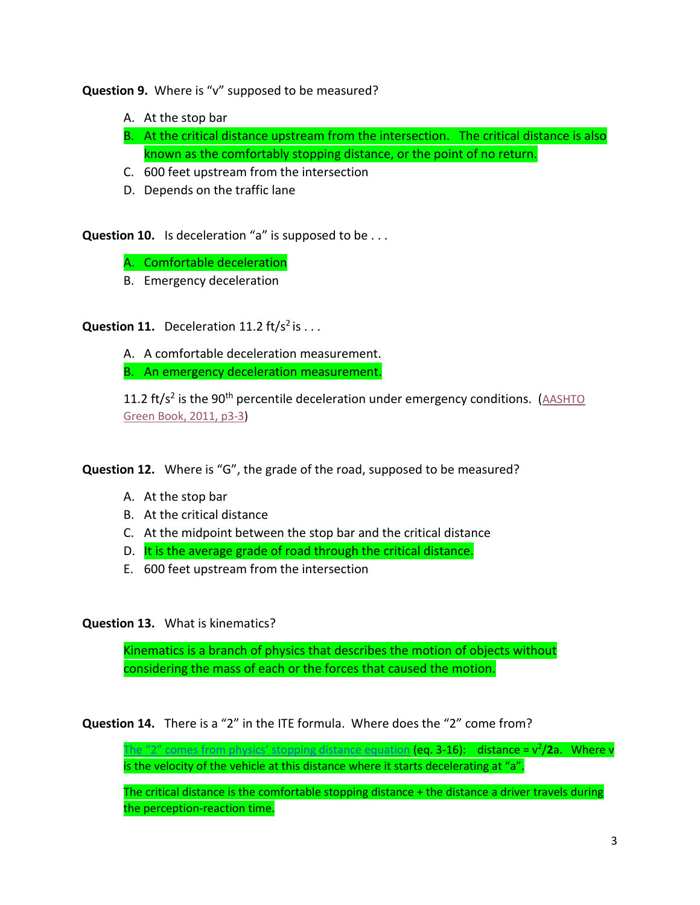**Question 9.** Where is "v" supposed to be measured?

- A. At the stop bar
- B. At the critical distance upstream from the intersection. The critical distance is also known as the comfortably stopping distance, or the point of no return.
- C. 600 feet upstream from the intersection
- D. Depends on the traffic lane

**Question 10.** Is deceleration "a" is supposed to be . . .

A. Comfortable deceleration

B. Emergency deceleration

**Question 11.** Deceleration 11.2  $\text{ft/s}^2$  is  $\dots$ 

A. A comfortable deceleration measurement.

B. An emergency deceleration measurement.

11.2 ft/s<sup>2</sup> is the 90<sup>th</sup> percentile deceleration under emergency conditions. (AASHTO [Green Book, 2011, p3-3\)](http://redlightrobber.com/red/links_pdf/AASHTO-Perception-Reaction-Times-2011.pdf)

**Question 12.** Where is "G", the grade of the road, supposed to be measured?

- A. At the stop bar
- B. At the critical distance
- C. At the midpoint between the stop bar and the critical distance
- D. It is the average grade of road through the critical distance.
- E. 600 feet upstream from the intersection

**Question 13.** What is kinematics?

Kinematics is a branch of physics that describes the motion of objects without considering the mass of each or the forces that caused the motion.

**Question 14.** There is a "2" in the ITE formula. Where does the "2" come from?

[The "2" comes from physics' stopping distance equation](http://redlightrobber.com/red/links_pdf/Freshman-Physics-Kinematic-Equations-of-Motion.pdf) (eq. 3-16): distance = v<sup>2</sup>/2a. Where v is the velocity of the vehicle at this distance where it starts decelerating at "a".

The critical distance is the comfortable stopping distance + the distance a driver travels during the perception-reaction time.